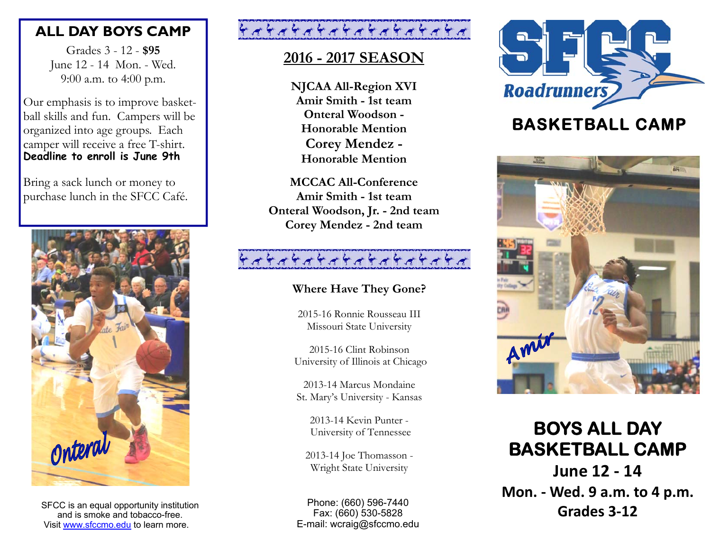### **ALL DAY BOYS CAMP**

Grades 3 - 12 - **\$95** June 12 - 14 Mon. - Wed. 9:00 a.m. to 4:00 p.m.

Our emphasis is to improve basketball skills and fun. Campers will be organized into age groups. Each camper will receive a free T-shirt. **Deadline to enroll is June 9th** 

Bring a sack lunch or money to purchase lunch in the SFCC Café.



SFCC is an equal opportunity institution **SECC is an equal opportunity institution** and is smoke and tobacco-free.<br>
Fax: (660) 530-5828 **Grades 3-12** Visit www.sfccmo.edu to learn more.

# \*\*\*\*\*\*\*\*\*\*\*\*\*\*\*\*\*\*\*

## **2016 - 2017 SEASON**

**NJCAA All-Region XVI Amir Smith - 1st team Onteral Woodson - Honorable MentionCorey Mendez - Honorable Mention**

**MCCAC All-ConferenceAmir Smith - 1st team Onteral Woodson, Jr. - 2nd team Corey Mendez - 2nd team**

# 444444444444444444

### **Where Have They Gone?**

2015-16 Ronnie Rousseau III Missouri State University

2015-16 Clint Robinson University of Illinois at Chicago

2013-14 Marcus Mondaine St. Mary's University - Kansas

2013-14 Kevin Punter - University of Tennessee

2013-14 Joe Thomasson - Wright State University

Phone: (660) 596-7440 Fax: (660) 530-5828 E-mail: wcraig@sfccmo.edu



## **BASKETBALL CAMP**



# **BOYS ALL DAY BASKETBALL CAMP**

**June 12 ‐ 14 Mon. ‐ Wed. 9 a.m. to 4 p.m.**